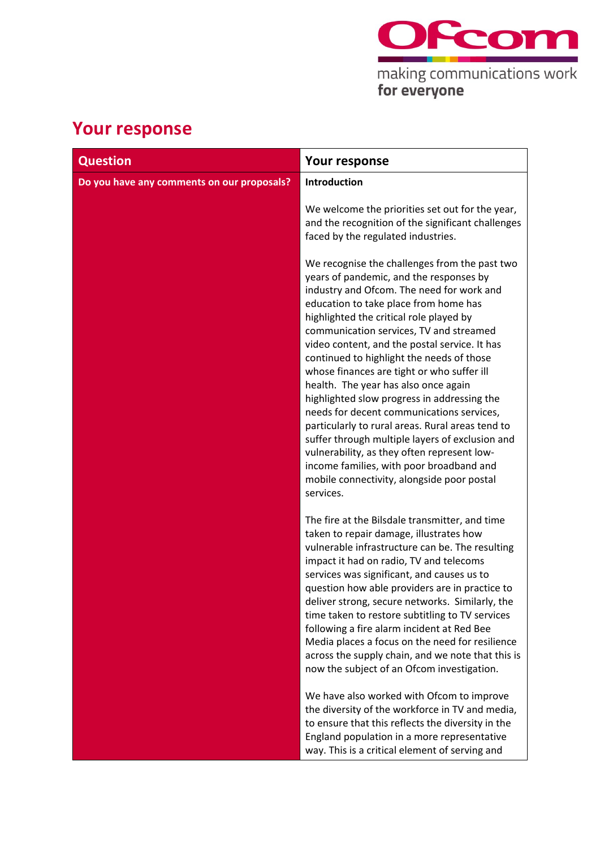

# **Your response**

| <b>Question</b>                            | Your response                                                                                                                                                                                                                                                                                                                                                                                                                                                                                                                                                                                                                                                                                                                                                                                                     |
|--------------------------------------------|-------------------------------------------------------------------------------------------------------------------------------------------------------------------------------------------------------------------------------------------------------------------------------------------------------------------------------------------------------------------------------------------------------------------------------------------------------------------------------------------------------------------------------------------------------------------------------------------------------------------------------------------------------------------------------------------------------------------------------------------------------------------------------------------------------------------|
| Do you have any comments on our proposals? | Introduction                                                                                                                                                                                                                                                                                                                                                                                                                                                                                                                                                                                                                                                                                                                                                                                                      |
|                                            | We welcome the priorities set out for the year,<br>and the recognition of the significant challenges<br>faced by the regulated industries.                                                                                                                                                                                                                                                                                                                                                                                                                                                                                                                                                                                                                                                                        |
|                                            | We recognise the challenges from the past two<br>years of pandemic, and the responses by<br>industry and Ofcom. The need for work and<br>education to take place from home has<br>highlighted the critical role played by<br>communication services, TV and streamed<br>video content, and the postal service. It has<br>continued to highlight the needs of those<br>whose finances are tight or who suffer ill<br>health. The year has also once again<br>highlighted slow progress in addressing the<br>needs for decent communications services,<br>particularly to rural areas. Rural areas tend to<br>suffer through multiple layers of exclusion and<br>vulnerability, as they often represent low-<br>income families, with poor broadband and<br>mobile connectivity, alongside poor postal<br>services. |
|                                            | The fire at the Bilsdale transmitter, and time<br>taken to repair damage, illustrates how<br>vulnerable infrastructure can be. The resulting<br>impact it had on radio, TV and telecoms<br>services was significant, and causes us to<br>question how able providers are in practice to<br>deliver strong, secure networks. Similarly, the<br>time taken to restore subtitling to TV services<br>following a fire alarm incident at Red Bee<br>Media places a focus on the need for resilience<br>across the supply chain, and we note that this is<br>now the subject of an Ofcom investigation.                                                                                                                                                                                                                 |
|                                            | We have also worked with Ofcom to improve<br>the diversity of the workforce in TV and media,<br>to ensure that this reflects the diversity in the<br>England population in a more representative<br>way. This is a critical element of serving and                                                                                                                                                                                                                                                                                                                                                                                                                                                                                                                                                                |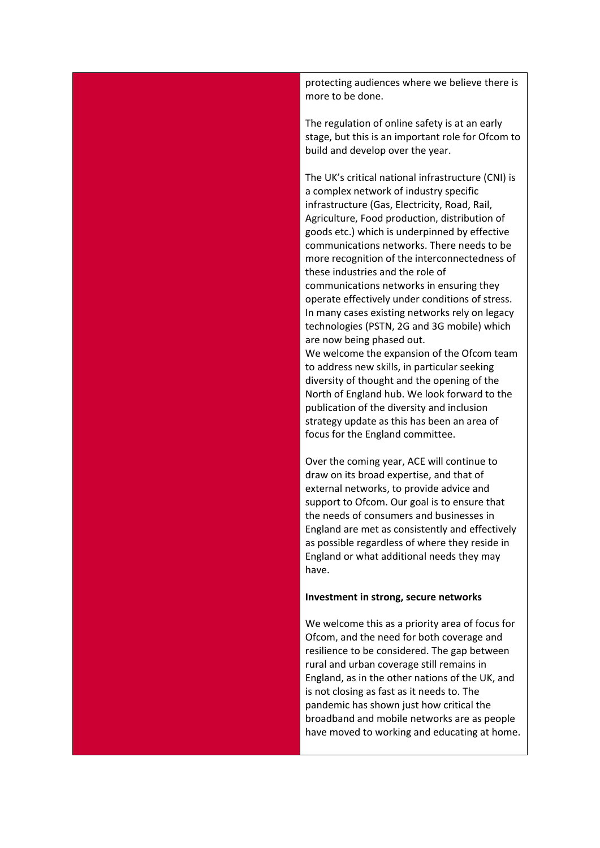protecting audiences where we believe there is more to be done.

The regulation of online safety is at an early stage, but this is an important role for Ofcom to build and develop over the year.

The UK's critical national infrastructure (CNI) is a complex network of industry specific infrastructure (Gas, Electricity, Road, Rail, Agriculture, Food production, distribution of goods etc.) which is underpinned by effective communications networks. There needs to be more recognition of the interconnectedness of these industries and the role of communications networks in ensuring they operate effectively under conditions of stress. In many cases existing networks rely on legacy technologies (PSTN, 2G and 3G mobile) which are now being phased out.

We welcome the expansion of the Ofcom team to address new skills, in particular seeking diversity of thought and the opening of the North of England hub. We look forward to the publication of the diversity and inclusion strategy update as this has been an area of focus for the England committee.

Over the coming year, ACE will continue to draw on its broad expertise, and that of external networks, to provide advice and support to Ofcom. Our goal is to ensure that the needs of consumers and businesses in England are met as consistently and effectively as possible regardless of where they reside in England or what additional needs they may have.

#### **Investment in strong, secure networks**

We welcome this as a priority area of focus for Ofcom, and the need for both coverage and resilience to be considered. The gap between rural and urban coverage still remains in England, as in the other nations of the UK, and is not closing as fast as it needs to. The pandemic has shown just how critical the broadband and mobile networks are as people have moved to working and educating at home.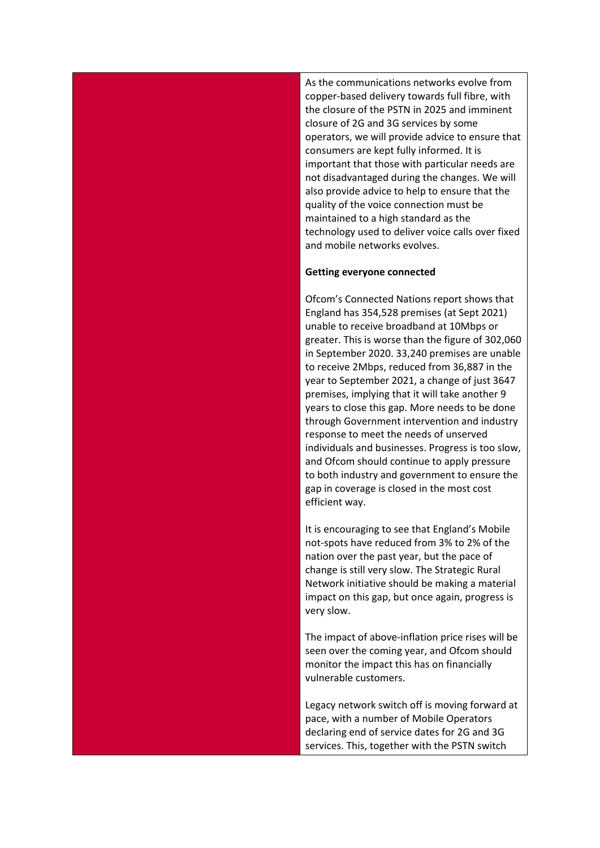As the communications networks evolve from copper-based delivery towards full fibre, with the closure of the PSTN in 2025 and imminent closure of 2G and 3G services by some operators, we will provide advice to ensure that consumers are kept fully informed. It is important that those with particular needs are not disadvantaged during the changes. We will also provide advice to help to ensure that the quality of the voice connection must be maintained to a high standard as the technology used to deliver voice calls over fixed and mobile networks evolves.

## **Getting everyone connected**

Ofcom's Connected Nations report shows that England has 354,528 premises (at Sept 2021) unable to receive broadband at 10Mbps or greater. This is worse than the figure of 302,060 in September 2020. 33,240 premises are unable to receive 2Mbps, reduced from 36,887 in the year to September 2021, a change of just 3647 premises, implying that it will take another 9 years to close this gap. More needs to be done through Government intervention and industry response to meet the needs of unserved individuals and businesses. Progress is too slow, and Ofcom should continue to apply pressure to both industry and government to ensure the gap in coverage is closed in the most cost efficient way.

It is encouraging to see that England's Mobile not-spots have reduced from 3% to 2% of the nation over the past year, but the pace of change is still very slow. The Strategic Rural Network initiative should be making a material impact on this gap, but once again, progress is very slow.

The impact of above-inflation price rises will be seen over the coming year, and Ofcom should monitor the impact this has on financially vulnerable customers.

Legacy network switch off is moving forward at pace, with a number of Mobile Operators declaring end of service dates for 2G and 3G services. This, together with the PSTN switch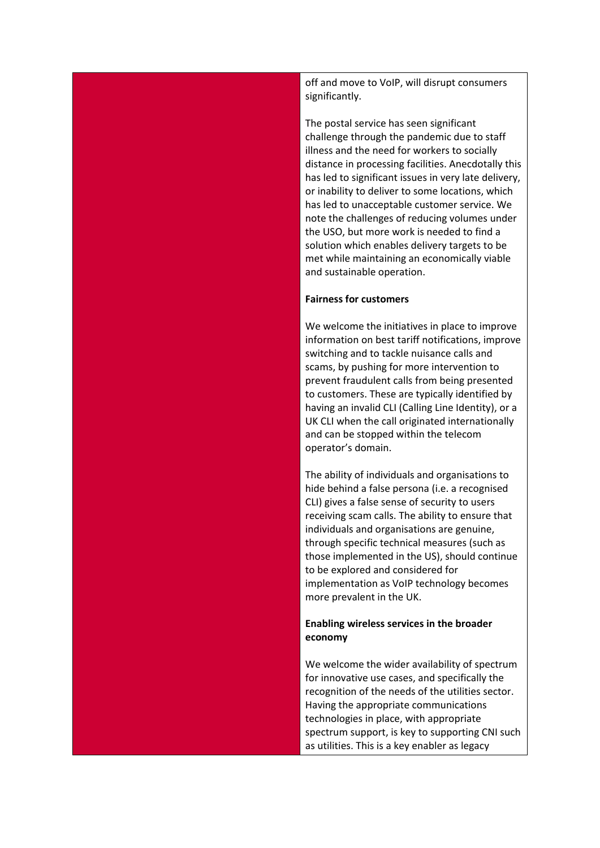off and move to VoIP, will disrupt consumers significantly.

The postal service has seen significant challenge through the pandemic due to staff illness and the need for workers to socially distance in processing facilities. Anecdotally this has led to significant issues in very late delivery, or inability to deliver to some locations, which has led to unacceptable customer service. We note the challenges of reducing volumes under the USO, but more work is needed to find a solution which enables delivery targets to be met while maintaining an economically viable and sustainable operation.

#### **Fairness for customers**

We welcome the initiatives in place to improve information on best tariff notifications, improve switching and to tackle nuisance calls and scams, by pushing for more intervention to prevent fraudulent calls from being presented to customers. These are typically identified by having an invalid CLI (Calling Line Identity), or a UK CLI when the call originated internationally and can be stopped within the telecom operator's domain.

The ability of individuals and organisations to hide behind a false persona (i.e. a recognised CLI) gives a false sense of security to users receiving scam calls. The ability to ensure that individuals and organisations are genuine, through specific technical measures (such as those implemented in the US), should continue to be explored and considered for implementation as VoIP technology becomes more prevalent in the UK.

## **Enabling wireless services in the broader economy**

We welcome the wider availability of spectrum for innovative use cases, and specifically the recognition of the needs of the utilities sector. Having the appropriate communications technologies in place, with appropriate spectrum support, is key to supporting CNI such as utilities. This is a key enabler as legacy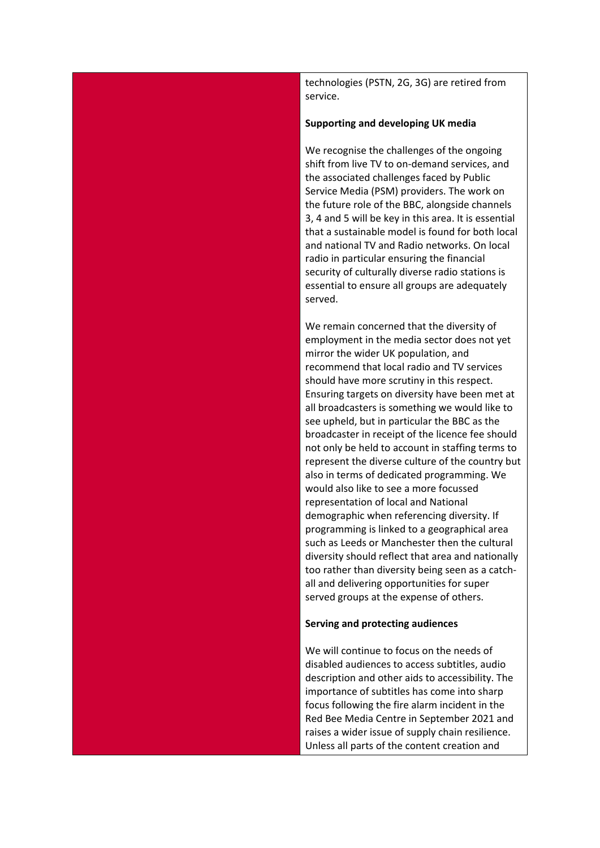technologies (PSTN, 2G, 3G) are retired from service.

#### **Supporting and developing UK media**

We recognise the challenges of the ongoing shift from live TV to on-demand services, and the associated challenges faced by Public Service Media (PSM) providers. The work on the future role of the BBC, alongside channels 3, 4 and 5 will be key in this area. It is essential that a sustainable model is found for both local and national TV and Radio networks. On local radio in particular ensuring the financial security of culturally diverse radio stations is essential to ensure all groups are adequately served.

We remain concerned that the diversity of employment in the media sector does not yet mirror the wider UK population, and recommend that local radio and TV services should have more scrutiny in this respect. Ensuring targets on diversity have been met at all broadcasters is something we would like to see upheld, but in particular the BBC as the broadcaster in receipt of the licence fee should not only be held to account in staffing terms to represent the diverse culture of the country but also in terms of dedicated programming. We would also like to see a more focussed representation of local and National demographic when referencing diversity. If programming is linked to a geographical area such as Leeds or Manchester then the cultural diversity should reflect that area and nationally too rather than diversity being seen as a catchall and delivering opportunities for super served groups at the expense of others.

### **Serving and protecting audiences**

We will continue to focus on the needs of disabled audiences to access subtitles, audio description and other aids to accessibility. The importance of subtitles has come into sharp focus following the fire alarm incident in the Red Bee Media Centre in September 2021 and raises a wider issue of supply chain resilience. Unless all parts of the content creation and